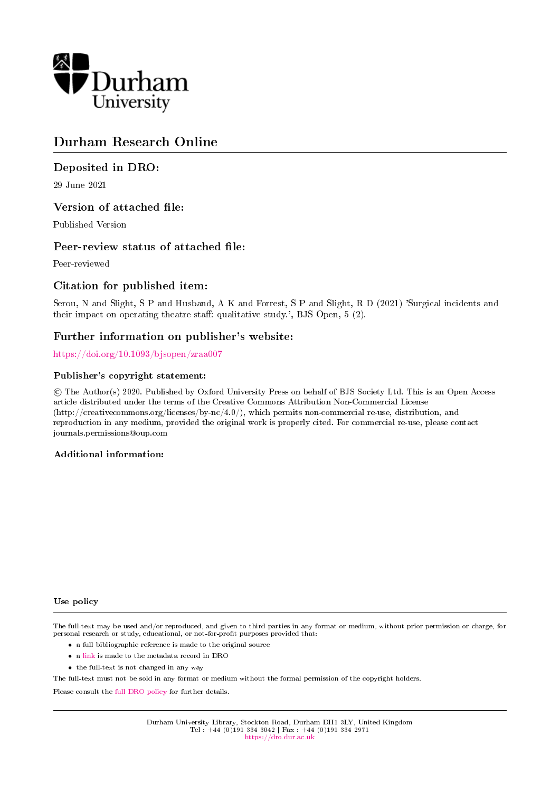

# Durham Research Online

# Deposited in DRO:

29 June 2021

# Version of attached file:

Published Version

# Peer-review status of attached file:

Peer-reviewed

# Citation for published item:

Serou, N and Slight, S P and Husband, A K and Forrest, S P and Slight, R D (2021) 'Surgical incidents and their impact on operating theatre staff: qualitative study.', BJS Open,  $5$  (2).

# Further information on publisher's website:

<https://doi.org/10.1093/bjsopen/zraa007>

## Publisher's copyright statement:

 c The Author(s) 2020. Published by Oxford University Press on behalf of BJS Society Ltd. This is an Open Access article distributed under the terms of the Creative Commons Attribution Non-Commercial License (http://creativecommons.org/licenses/by-nc/4.0/), which permits non-commercial re-use, distribution, and reproduction in any medium, provided the original work is properly cited. For commercial re-use, please contact journals.permissions@oup.com

## Additional information:

#### Use policy

The full-text may be used and/or reproduced, and given to third parties in any format or medium, without prior permission or charge, for personal research or study, educational, or not-for-profit purposes provided that:

- a full bibliographic reference is made to the original source
- a [link](http://dro.dur.ac.uk/33273/) is made to the metadata record in DRO
- the full-text is not changed in any way

The full-text must not be sold in any format or medium without the formal permission of the copyright holders.

Please consult the [full DRO policy](https://dro.dur.ac.uk/policies/usepolicy.pdf) for further details.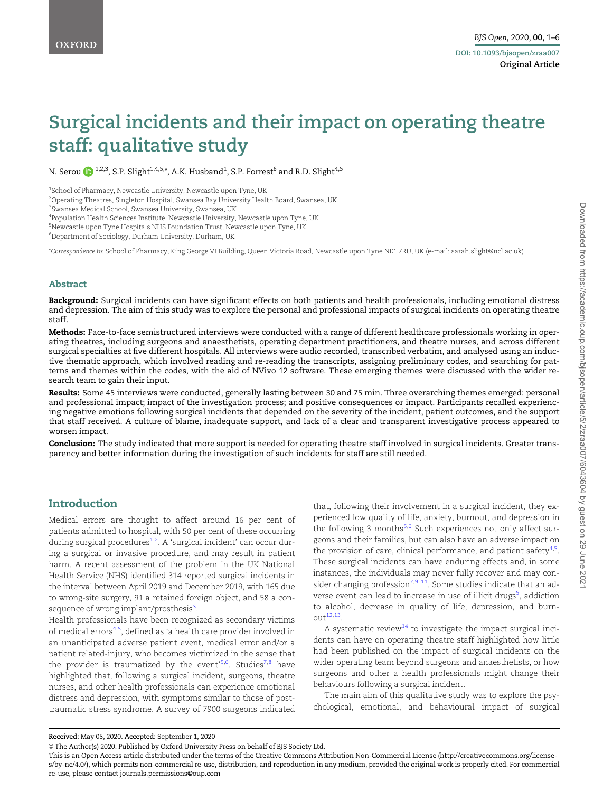# <span id="page-1-0"></span>Surgical incidents and their impact on operating theatre staff: qualitative study

N. Serou (D  $^{1,2,3},$  S.P. Slight $^{1,4,5,*},$  A.K. Husband $^{1},$  S.P. Forrest $^{6}$  and R.D. Slight $^{4,5}$ 

1 School of Pharmacy, Newcastle University, Newcastle upon Tyne, UK

 $^{\rm 2}$ Operating Theatres, Singleton Hospital, Swansea Bay University Health Board, Swansea, UK

3 Swansea Medical School, Swansea University, Swansea, UK

4 Population Health Sciences Institute, Newcastle University, Newcastle upon Tyne, UK

5 Newcastle upon Tyne Hospitals NHS Foundation Trust, Newcastle upon Tyne, UK

6 Department of Sociology, Durham University, Durham, UK

\*Correspondence to: School of Pharmacy, King George VI Building, Queen Victoria Road, Newcastle upon Tyne NE1 7RU, UK (e-mail: sarah.slight@ncl.ac.uk)

#### Abstract

Background: Surgical incidents can have significant effects on both patients and health professionals, including emotional distress and depression. The aim of this study was to explore the personal and professional impacts of surgical incidents on operating theatre staff.

Methods: Face-to-face semistructured interviews were conducted with a range of different healthcare professionals working in operating theatres, including surgeons and anaesthetists, operating department practitioners, and theatre nurses, and across different surgical specialties at five different hospitals. All interviews were audio recorded, transcribed verbatim, and analysed using an inductive thematic approach, which involved reading and re-reading the transcripts, assigning preliminary codes, and searching for patterns and themes within the codes, with the aid of NVivo 12 software. These emerging themes were discussed with the wider research team to gain their input.

Results: Some 45 interviews were conducted, generally lasting between 30 and 75 min. Three overarching themes emerged: personal and professional impact; impact of the investigation process; and positive consequences or impact. Participants recalled experiencing negative emotions following surgical incidents that depended on the severity of the incident, patient outcomes, and the support that staff received. A culture of blame, inadequate support, and lack of a clear and transparent investigative process appeared to worsen impact.

Conclusion: The study indicated that more support is needed for operating theatre staff involved in surgical incidents. Greater transparency and better information during the investigation of such incidents for staff are still needed.

## Introduction

Medical errors are thought to affect around 16 per cent of patients admitted to hospital, with 50 per cent of these occurring during surgical procedures<sup>[1](#page-5-0),[2](#page-5-0)</sup>. A 'surgical incident' can occur during a surgical or invasive procedure, and may result in patient harm. A recent assessment of the problem in the UK National Health Service (NHS) identified 314 reported surgical incidents in the interval between April 2019 and December 2019, with 165 due to wrong-site surgery, 91 a retained foreign object, and 58 a con-sequence of wrong implant/prosthesis<sup>[3](#page-5-0)</sup>.

Health professionals have been recognized as secondary victims of medical errors<sup>[4,5](#page-5-0)</sup>, defined as 'a health care provider involved in an unanticipated adverse patient event, medical error and/or a patient related-injury, who becomes victimized in the sense that the provider is traumatized by the event'<sup>[5](#page-5-0),[6](#page-5-0)</sup>. Studies<sup>[7,8](#page-5-0)</sup> have highlighted that, following a surgical incident, surgeons, theatre nurses, and other health professionals can experience emotional distress and depression, with symptoms similar to those of posttraumatic stress syndrome. A survey of 7900 surgeons indicated

that, following their involvement in a surgical incident, they experienced low quality of life, anxiety, burnout, and depression in the following 3 months<sup>[5,6](#page-5-0)</sup> Such experiences not only affect surgeons and their families, but can also have an adverse impact on the provision of care, clinical performance, and patient safety<sup>[4,5](#page-5-0)</sup>. These surgical incidents can have enduring effects and, in some instances, the individuals may never fully recover and may con-sider changing profession<sup>7,[9](#page-5-0)-[11](#page-5-0)</sup>. Some studies indicate that an ad-verse event can lead to increase in use of illicit drugs<sup>[9](#page-5-0)</sup>, addiction to alcohol, decrease in quality of life, depression, and burn- $out<sup>12,13</sup>$  $out<sup>12,13</sup>$  $out<sup>12,13</sup>$ .

A systematic review $14$  to investigate the impact surgical incidents can have on operating theatre staff highlighted how little had been published on the impact of surgical incidents on the wider operating team beyond surgeons and anaesthetists, or how surgeons and other a health professionals might change their behaviours following a surgical incident.

The main aim of this qualitative study was to explore the psychological, emotional, and behavioural impact of surgical

Received: May 05, 2020. Accepted: September 1, 2020

<sup>©</sup> The Author(s) 2020. Published by Oxford University Press on behalf of BJS Society Ltd.

This is an Open Access article distributed under the terms of the Creative Commons Attribution Non-Commercial License (http://creativecommons.org/licenses/by-nc/4.0/), which permits non-commercial re-use, distribution, and reproduction in any medium, provided the original work is properly cited. For commercial re-use, please contact journals.permissions@oup.com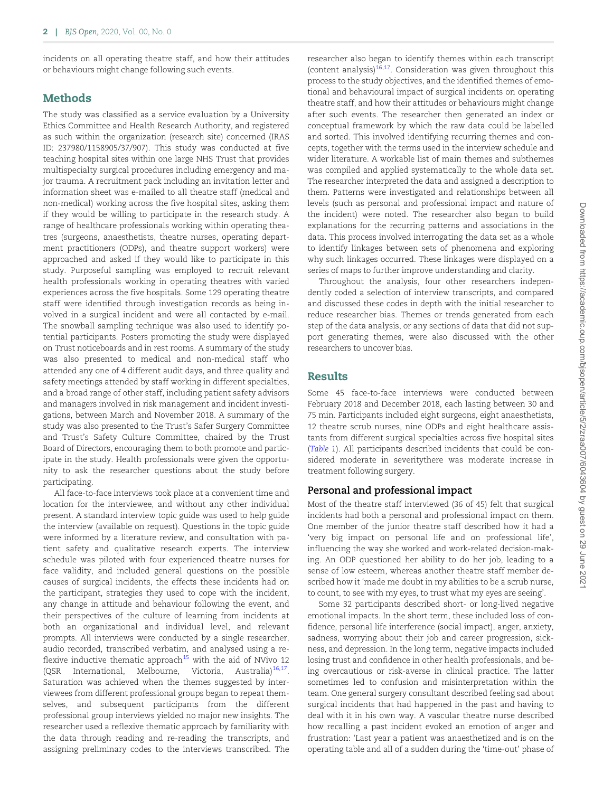<span id="page-2-0"></span>incidents on all operating theatre staff, and how their attitudes or behaviours might change following such events.

## **Methods**

The study was classified as a service evaluation by a University Ethics Committee and Health Research Authority, and registered as such within the organization (research site) concerned (IRAS ID: 237980/1158905/37/907). This study was conducted at five teaching hospital sites within one large NHS Trust that provides multispecialty surgical procedures including emergency and major trauma. A recruitment pack including an invitation letter and information sheet was e-mailed to all theatre staff (medical and non-medical) working across the five hospital sites, asking them if they would be willing to participate in the research study. A range of healthcare professionals working within operating theatres (surgeons, anaesthetists, theatre nurses, operating department practitioners (ODPs), and theatre support workers) were approached and asked if they would like to participate in this study. Purposeful sampling was employed to recruit relevant health professionals working in operating theatres with varied experiences across the five hospitals. Some 129 operating theatre staff were identified through investigation records as being involved in a surgical incident and were all contacted by e-mail. The snowball sampling technique was also used to identify potential participants. Posters promoting the study were displayed on Trust noticeboards and in rest rooms. A summary of the study was also presented to medical and non-medical staff who attended any one of 4 different audit days, and three quality and safety meetings attended by staff working in different specialties, and a broad range of other staff, including patient safety advisors and managers involved in risk management and incident investigations, between March and November 2018. A summary of the study was also presented to the Trust's Safer Surgery Committee and Trust's Safety Culture Committee, chaired by the Trust Board of Directors, encouraging them to both promote and participate in the study. Health professionals were given the opportunity to ask the researcher questions about the study before participating.

All face-to-face interviews took place at a convenient time and location for the interviewee, and without any other individual present. A standard interview topic guide was used to help guide the interview (available on request). Questions in the topic guide were informed by a literature review, and consultation with patient safety and qualitative research experts. The interview schedule was piloted with four experienced theatre nurses for face validity, and included general questions on the possible causes of surgical incidents, the effects these incidents had on the participant, strategies they used to cope with the incident, any change in attitude and behaviour following the event, and their perspectives of the culture of learning from incidents at both an organizational and individual level, and relevant prompts. All interviews were conducted by a single researcher, audio recorded, transcribed verbatim, and analysed using a re-flexive inductive thematic approach<sup>[15](#page-5-0)</sup> with the aid of NVivo 12 (QSR International, Melbourne, Victoria, Australia) $16,17$ . Saturation was achieved when the themes suggested by interviewees from different professional groups began to repeat themselves, and subsequent participants from the different professional group interviews yielded no major new insights. The researcher used a reflexive thematic approach by familiarity with the data through reading and re-reading the transcripts, and assigning preliminary codes to the interviews transcribed. The

researcher also began to identify themes within each transcript (content analysis) $16,17$ . Consideration was given throughout this process to the study objectives, and the identified themes of emotional and behavioural impact of surgical incidents on operating theatre staff, and how their attitudes or behaviours might change after such events. The researcher then generated an index or conceptual framework by which the raw data could be labelled and sorted. This involved identifying recurring themes and concepts, together with the terms used in the interview schedule and wider literature. A workable list of main themes and subthemes was compiled and applied systematically to the whole data set. The researcher interpreted the data and assigned a description to them. Patterns were investigated and relationships between all levels (such as personal and professional impact and nature of the incident) were noted. The researcher also began to build explanations for the recurring patterns and associations in the data. This process involved interrogating the data set as a whole to identify linkages between sets of phenomena and exploring why such linkages occurred. These linkages were displayed on a series of maps to further improve understanding and clarity.

Throughout the analysis, four other researchers independently coded a selection of interview transcripts, and compared and discussed these codes in depth with the initial researcher to reduce researcher bias. Themes or trends generated from each step of the data analysis, or any sections of data that did not support generating themes, were also discussed with the other researchers to uncover bias.

### **Results**

Some 45 face-to-face interviews were conducted between February 2018 and December 2018, each lasting between 30 and 75 min. Participants included eight surgeons, eight anaesthetists, 12 theatre scrub nurses, nine ODPs and eight healthcare assistants from different surgical specialties across five hospital sites ([Table 1](#page-3-0)). All participants described incidents that could be considered moderate in severitythere was moderate increase in treatment following surgery.

#### Personal and professional impact

Most of the theatre staff interviewed (36 of 45) felt that surgical incidents had both a personal and professional impact on them. One member of the junior theatre staff described how it had a 'very big impact on personal life and on professional life', influencing the way she worked and work-related decision-making. An ODP questioned her ability to do her job, leading to a sense of low esteem, whereas another theatre staff member described how it 'made me doubt in my abilities to be a scrub nurse, to count, to see with my eyes, to trust what my eyes are seeing'.

Some 32 participants described short- or long-lived negative emotional impacts. In the short term, these included loss of confidence, personal life interference (social impact), anger, anxiety, sadness, worrying about their job and career progression, sickness, and depression. In the long term, negative impacts included losing trust and confidence in other health professionals, and being overcautious or risk-averse in clinical practice. The latter sometimes led to confusion and misinterpretation within the team. One general surgery consultant described feeling sad about surgical incidents that had happened in the past and having to deal with it in his own way. A vascular theatre nurse described how recalling a past incident evoked an emotion of anger and frustration: 'Last year a patient was anaesthetized and is on the operating table and all of a sudden during the 'time-out' phase of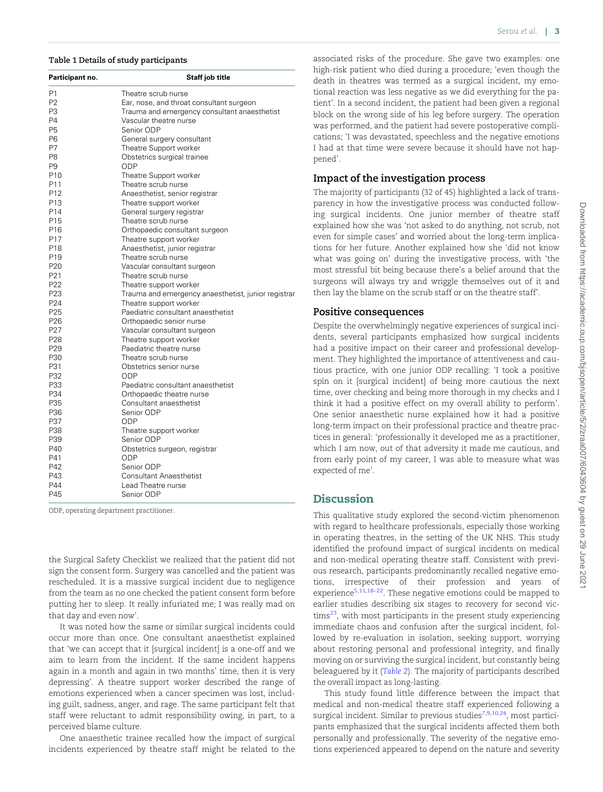#### <span id="page-3-0"></span>Table 1 Details of study participants

| Participant no.                    | Staff job title                                              |
|------------------------------------|--------------------------------------------------------------|
| Р1                                 | Theatre scrub nurse                                          |
| P <sub>2</sub>                     | Ear, nose, and throat consultant surgeon                     |
| P3                                 | Trauma and emergency consultant anaesthetist                 |
| P4                                 | Vascular theatre nurse                                       |
| <b>P5</b>                          | Senior ODP                                                   |
| P6                                 | General surgery consultant                                   |
| P7                                 | Theatre Support worker                                       |
| P8                                 | Obstetrics surgical trainee                                  |
| P9                                 | ODP                                                          |
| P <sub>10</sub>                    | Theatre Support worker                                       |
| P11                                | Theatre scrub nurse                                          |
| P <sub>12</sub>                    | Anaesthetist, senior registrar                               |
| P13                                | Theatre support worker                                       |
| P14                                | General surgery registrar                                    |
| P <sub>15</sub>                    | Theatre scrub nurse                                          |
| P16                                | Orthopaedic consultant surgeon                               |
| P17                                | Theatre support worker                                       |
| P <sub>18</sub>                    | Anaesthetist, junior registrar                               |
| P <sub>19</sub>                    | Theatre scrub nurse                                          |
| P <sub>20</sub><br>P <sub>21</sub> | Vascular consultant surgeon                                  |
|                                    | Theatre scrub nurse                                          |
| P <sub>22</sub><br>P23             | Theatre support worker                                       |
| P <sub>24</sub>                    | Trauma and emergency anaesthetist, junior registrar          |
| P25                                | Theatre support worker<br>Paediatric consultant anaesthetist |
| P <sub>26</sub>                    | Orthopaedic senior nurse                                     |
| P <sub>27</sub>                    | Vascular consultant surgeon                                  |
| P <sub>28</sub>                    | Theatre support worker                                       |
| P <sub>29</sub>                    | Paediatric theatre nurse                                     |
| P30                                | Theatre scrub nurse                                          |
| P31                                | Obstetrics senior nurse                                      |
| P32                                | ODP                                                          |
| P33                                | Paediatric consultant anaesthetist                           |
| P34                                | Orthopaedic theatre nurse                                    |
| P35                                | Consultant anaesthetist                                      |
| P36                                | Senior ODP                                                   |
| P37                                | ODP                                                          |
| P38                                | Theatre support worker                                       |
| P39                                | Senior ODP                                                   |
| P40                                | Obstetrics surgeon, registrar                                |
| P41                                | ODP                                                          |
| P42                                | Senior ODP                                                   |
| P43                                | <b>Consultant Anaesthetist</b>                               |
| P44                                | Lead Theatre nurse                                           |
| P45                                | Senior ODP                                                   |

ODP, operating department practitioner.

the Surgical Safety Checklist we realized that the patient did not sign the consent form. Surgery was cancelled and the patient was rescheduled. It is a massive surgical incident due to negligence from the team as no one checked the patient consent form before putting her to sleep. It really infuriated me; I was really mad on that day and even now'.

It was noted how the same or similar surgical incidents could occur more than once. One consultant anaesthetist explained that 'we can accept that it [surgical incident] is a one-off and we aim to learn from the incident. If the same incident happens again in a month and again in two months' time, then it is very depressing'. A theatre support worker described the range of emotions experienced when a cancer specimen was lost, including guilt, sadness, anger, and rage. The same participant felt that staff were reluctant to admit responsibility owing, in part, to a perceived blame culture.

One anaesthetic trainee recalled how the impact of surgical incidents experienced by theatre staff might be related to the

associated risks of the procedure. She gave two examples: one high-risk patient who died during a procedure; 'even though the death in theatres was termed as a surgical incident, my emotional reaction was less negative as we did everything for the patient'. In a second incident, the patient had been given a regional block on the wrong side of his leg before surgery. The operation was performed, and the patient had severe postoperative complications; 'I was devastated, speechless and the negative emotions I had at that time were severe because it should have not happened'.

#### Impact of the investigation process

The majority of participants (32 of 45) highlighted a lack of transparency in how the investigative process was conducted following surgical incidents. One junior member of theatre staff explained how she was 'not asked to do anything, not scrub, not even for simple cases' and worried about the long-term implications for her future. Another explained how she 'did not know what was going on' during the investigative process, with 'the most stressful bit being because there's a belief around that the surgeons will always try and wriggle themselves out of it and then lay the blame on the scrub staff or on the theatre staff'.

#### Positive consequences

Despite the overwhelmingly negative experiences of surgical incidents, several participants emphasized how surgical incidents had a positive impact on their career and professional development. They highlighted the importance of attentiveness and cautious practice, with one junior ODP recalling: 'I took a positive spin on it [surgical incident] of being more cautious the next time, over checking and being more thorough in my checks and I think it had a positive effect on my overall ability to perform'. One senior anaesthetic nurse explained how it had a positive long-term impact on their professional practice and theatre practices in general: 'professionally it developed me as a practitioner, which I am now, out of that adversity it made me cautious, and from early point of my career, I was able to measure what was expected of me'.

#### **Discussion**

This qualitative study explored the second-victim phenomenon with regard to healthcare professionals, especially those working in operating theatres, in the setting of the UK NHS. This study identified the profound impact of surgical incidents on medical and non-medical operating theatre staff. Consistent with previous research, participants predominantly recalled negative emotions, irrespective of their profession and years of experience<sup>[5](#page-5-0),[11](#page-5-0),[18](#page-5-0)–[22](#page-6-0)</sup>. These negative emotions could be mapped to earlier studies describing six stages to recovery for second vic $tims<sup>23</sup>$ , with most participants in the present study experiencing immediate chaos and confusion after the surgical incident, followed by re-evaluation in isolation, seeking support, worrying about restoring personal and professional integrity, and finally moving on or surviving the surgical incident, but constantly being beleaguered by it ([Table 2](#page-4-0)). The majority of participants described the overall impact as long-lasting.

This study found little difference between the impact that medical and non-medical theatre staff experienced following a surgical incident. Similar to previous studies $^{7,9,10,24}$  $^{7,9,10,24}$  $^{7,9,10,24}$  $^{7,9,10,24}$  $^{7,9,10,24}$  $^{7,9,10,24}$  $^{7,9,10,24}$  $^{7,9,10,24}$  $^{7,9,10,24}$ , most participants emphasized that the surgical incidents affected them both personally and professionally. The severity of the negative emotions experienced appeared to depend on the nature and severity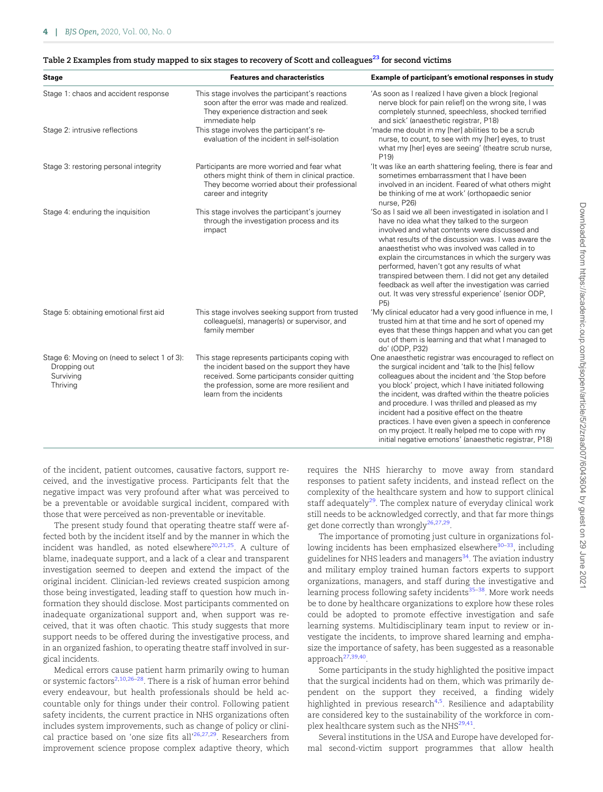<span id="page-4-0"></span>

| <b>Stage</b>                                                                         | <b>Features and characteristics</b>                                                                                                                                                                                       | Example of participant's emotional responses in study                                                                                                                                                                                                                                                                                                                                                                                                                                                                                                            |
|--------------------------------------------------------------------------------------|---------------------------------------------------------------------------------------------------------------------------------------------------------------------------------------------------------------------------|------------------------------------------------------------------------------------------------------------------------------------------------------------------------------------------------------------------------------------------------------------------------------------------------------------------------------------------------------------------------------------------------------------------------------------------------------------------------------------------------------------------------------------------------------------------|
| Stage 1: chaos and accident response<br>Stage 2: intrusive reflections               | This stage involves the participant's reactions<br>soon after the error was made and realized.<br>They experience distraction and seek<br>immediate help                                                                  | 'As soon as I realized I have given a block [regional<br>nerve block for pain relief] on the wrong site, I was<br>completely stunned, speechless, shocked terrified<br>and sick' (anaesthetic registrar, P18)<br>'made me doubt in my [her] abilities to be a scrub                                                                                                                                                                                                                                                                                              |
|                                                                                      | This stage involves the participant's re-<br>evaluation of the incident in self-isolation                                                                                                                                 | nurse, to count, to see with my [her] eyes, to trust<br>what my [her] eyes are seeing' (theatre scrub nurse,<br>P <sub>19</sub>                                                                                                                                                                                                                                                                                                                                                                                                                                  |
| Stage 3: restoring personal integrity                                                | Participants are more worried and fear what<br>others might think of them in clinical practice.<br>They become worried about their professional<br>career and integrity                                                   | 'It was like an earth shattering feeling, there is fear and<br>sometimes embarrassment that I have been<br>involved in an incident. Feared of what others might<br>be thinking of me at work' (orthopaedic senior<br>nurse, P26)                                                                                                                                                                                                                                                                                                                                 |
| Stage 4: enduring the inquisition                                                    | This stage involves the participant's journey<br>through the investigation process and its<br>impact                                                                                                                      | 'So as I said we all been investigated in isolation and I<br>have no idea what they talked to the surgeon<br>involved and what contents were discussed and<br>what results of the discussion was. I was aware the<br>anaesthetist who was involved was called in to<br>explain the circumstances in which the surgery was<br>performed, haven't got any results of what<br>transpired between them. I did not get any detailed<br>feedback as well after the investigation was carried<br>out. It was very stressful experience' (senior ODP,<br>P5)             |
| Stage 5: obtaining emotional first aid                                               | This stage involves seeking support from trusted<br>colleague(s), manager(s) or supervisor, and<br>family member                                                                                                          | 'My clinical educator had a very good influence in me, I<br>trusted him at that time and he sort of opened my<br>eyes that these things happen and what you can get<br>out of them is learning and that what I managed to<br>do' (ODP, P32)                                                                                                                                                                                                                                                                                                                      |
| Stage 6: Moving on (need to select 1 of 3):<br>Dropping out<br>Surviving<br>Thriving | This stage represents participants coping with<br>the incident based on the support they have<br>received. Some participants consider quitting<br>the profession, some are more resilient and<br>learn from the incidents | One anaesthetic registrar was encouraged to reflect on<br>the surgical incident and 'talk to the [his] fellow<br>colleagues about the incident and 'the Stop before<br>you block' project, which I have initiated following<br>the incident, was drafted within the theatre policies<br>and procedure. I was thrilled and pleased as my<br>incident had a positive effect on the theatre<br>practices. I have even given a speech in conference<br>on my project. It really helped me to cope with my<br>initial negative emotions' (anaesthetic registrar, P18) |

of the incident, patient outcomes, causative factors, support received, and the investigative process. Participants felt that the negative impact was very profound after what was perceived to be a preventable or avoidable surgical incident, compared with those that were perceived as non-preventable or inevitable.

The present study found that operating theatre staff were affected both by the incident itself and by the manner in which the incident was handled, as noted elsewhere $20,21,25$  $20,21,25$  $20,21,25$  $20,21,25$  $20,21,25$ . A culture of blame, inadequate support, and a lack of a clear and transparent investigation seemed to deepen and extend the impact of the original incident. Clinician-led reviews created suspicion among those being investigated, leading staff to question how much information they should disclose. Most participants commented on inadequate organizational support and, when support was received, that it was often chaotic. This study suggests that more support needs to be offered during the investigative process, and in an organized fashion, to operating theatre staff involved in surgical incidents.

Medical errors cause patient harm primarily owing to human or systemic factors<sup>[2](#page-5-0),[10](#page-5-0),26–28</sup>. There is a risk of human error behind every endeavour, but health professionals should be held accountable only for things under their control. Following patient safety incidents, the current practice in NHS organizations often includes system improvements, such as change of policy or clinical practice based on 'one size fits all'<sup>26,27,29</sup>. Researchers from improvement science propose complex adaptive theory, which requires the NHS hierarchy to move away from standard responses to patient safety incidents, and instead reflect on the complexity of the healthcare system and how to support clinical staff adequately $29$ . The complex nature of everyday clinical work still needs to be acknowledged correctly, and that far more things get done correctly than wrongly $^{26,27,29}$  $^{26,27,29}$  $^{26,27,29}$  $^{26,27,29}$  $^{26,27,29}$  $^{26,27,29}$  $^{26,27,29}$ .

The importance of promoting just culture in organizations following incidents has been emphasized elsewhere<sup>30-33</sup>, including guidelines for NHS leaders and managers<sup>[34](#page-6-0)</sup>. The aviation industry and military employ trained human factors experts to support organizations, managers, and staff during the investigative and learning process following safety incidents<sup>35-38</sup>. More work needs be to done by healthcare organizations to explore how these roles could be adopted to promote effective investigation and safe learning systems. Multidisciplinary team input to review or investigate the incidents, to improve shared learning and emphasize the importance of safety, has been suggested as a reasonable approach<sup>[27](#page-6-0),[39,40](#page-6-0)</sup>.

Some participants in the study highlighted the positive impact that the surgical incidents had on them, which was primarily dependent on the support they received, a finding widely highlighted in previous research<sup>[4](#page-5-0),[5](#page-5-0)</sup>. Resilience and adaptability are considered key to the sustainability of the workforce in complex healthcare system such as the NHS $^{29,41}$  $^{29,41}$  $^{29,41}$  $^{29,41}$  $^{29,41}$ .

Several institutions in the USA and Europe have developed formal second-victim support programmes that allow health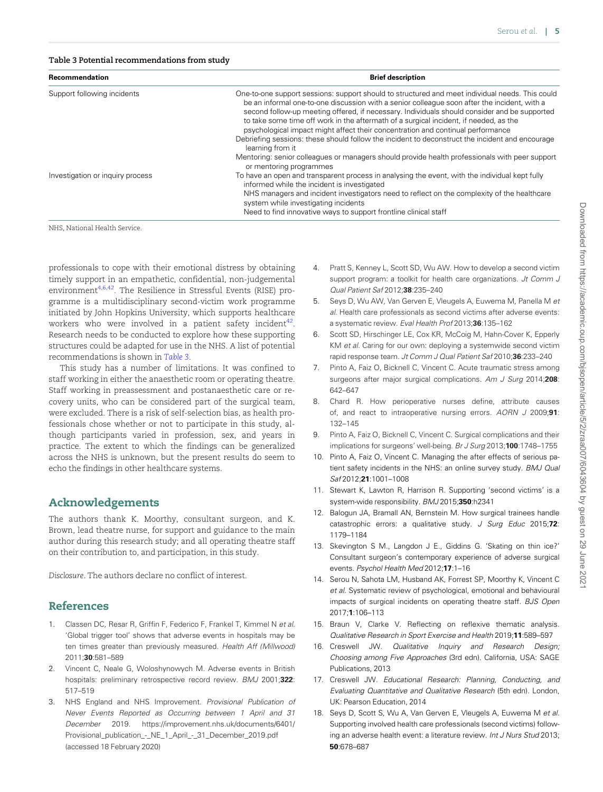#### <span id="page-5-0"></span>Table 3 Potential recommendations from study

| Recommendation                   | <b>Brief description</b>                                                                                                                                                                                                                                                                                                                                                                                                                                                                                                                                                                           |  |
|----------------------------------|----------------------------------------------------------------------------------------------------------------------------------------------------------------------------------------------------------------------------------------------------------------------------------------------------------------------------------------------------------------------------------------------------------------------------------------------------------------------------------------------------------------------------------------------------------------------------------------------------|--|
| Support following incidents      | One-to-one support sessions: support should to structured and meet individual needs. This could<br>be an informal one-to-one discussion with a senior colleague soon after the incident, with a<br>second follow-up meeting offered, if necessary. Individuals should consider and be supported<br>to take some time off work in the aftermath of a surgical incident, if needed, as the<br>psychological impact might affect their concentration and continual performance<br>Debriefing sessions: these should follow the incident to deconstruct the incident and encourage<br>learning from it |  |
|                                  | Mentoring: senior colleagues or managers should provide health professionals with peer support<br>or mentoring programmes                                                                                                                                                                                                                                                                                                                                                                                                                                                                          |  |
| Investigation or inquiry process | To have an open and transparent process in analysing the event, with the individual kept fully<br>informed while the incident is investigated                                                                                                                                                                                                                                                                                                                                                                                                                                                      |  |
|                                  | NHS managers and incident investigators need to reflect on the complexity of the healthcare<br>system while investigating incidents                                                                                                                                                                                                                                                                                                                                                                                                                                                                |  |
|                                  | Need to find innovative ways to support frontline clinical staff                                                                                                                                                                                                                                                                                                                                                                                                                                                                                                                                   |  |

NHS, National Health Service.

professionals to cope with their emotional distress by obtaining timely support in an empathetic, confidential, non-judgemental environment<sup>4,6,42</sup>. The Resilience in Stressful Events (RISE) programme is a multidisciplinary second-victim work programme initiated by John Hopkins University, which supports healthcare workers who were involved in a patient safety incident<sup>[42](#page-6-0)</sup>. Research needs to be conducted to explore how these supporting structures could be adapted for use in the NHS. A list of potential recommendations is shown in Table 3.

This study has a number of limitations. It was confined to staff working in either the anaesthetic room or operating theatre. Staff working in preassessment and postanaesthetic care or recovery units, who can be considered part of the surgical team, were excluded. There is a risk of self-selection bias, as health professionals chose whether or not to participate in this study, although participants varied in profession, sex, and years in practice. The extent to which the findings can be generalized across the NHS is unknown, but the present results do seem to echo the findings in other healthcare systems.

#### Acknowledgements

The authors thank K. Moorthy, consultant surgeon, and K. Brown, lead theatre nurse, for support and guidance to the main author during this research study; and all operating theatre staff on their contribution to, and participation, in this study.

Disclosure. The authors declare no conflict of interest.

## References

- [1](#page-1-0). Classen DC, Resar R, Griffin F, Federico F, Frankel T, Kimmel N et al. 'Global trigger tool' shows that adverse events in hospitals may be ten times greater than previously measured. Health Aff (Millwood) 2011;30:581–589
- [2](#page-1-0). Vincent C, Neale G, Woloshynowych M. Adverse events in British hospitals: preliminary retrospective record review. BMJ 2001;322: 517–519
- [3](#page-1-0). NHS England and NHS Improvement. Provisional Publication of Never Events Reported as Occurring between 1 April and 31 December 2019. [https://improvement.nhs.uk/documents/6401/](https://improvement.nhs.uk/documents/6401/Provisional_publication_-_NE_1_April_-_31_December_2019.pdf) [Provisional\\_publication\\_-\\_NE\\_1\\_April\\_-\\_31\\_December\\_2019.pdf](https://improvement.nhs.uk/documents/6401/Provisional_publication_-_NE_1_April_-_31_December_2019.pdf) (accessed 18 February 2020)
- [4.](#page-1-0) Pratt S, Kenney L, Scott SD, Wu AW. How to develop a second victim support program: a toolkit for health care organizations. Jt Comm J Qual Patient Saf 2012;38:235–240
- [5.](#page-1-0) Seys D, Wu AW, Van Gerven E, Vleugels A, Euwema M, Panella M et al. Health care professionals as second victims after adverse events: a systematic review. Eval Health Prof 2013;36:135–162
- Scott SD, Hirschinger LE, Cox KR, McCoig M, Hahn-Cover K, Epperly KM et al. Caring for our own: deploying a systemwide second victim rapid response team. Jt Comm J Qual Patient Saf 2010;36:233–240
- [7.](#page-1-0) Pinto A, Faiz O, Bicknell C, Vincent C. Acute traumatic stress among surgeons after major surgical complications. Am J Surg 2014;208: 642–647
- [8.](#page-1-0) Chard R. How perioperative nurses define, attribute causes of, and react to intraoperative nursing errors. AORN J 2009;91: 132–145
- [9.](#page-1-0) Pinto A, Faiz O, Bicknell C, Vincent C. Surgical complications and their implications for surgeons' well-being. Br J Surg 2013;100:1748–1755
- [10.](#page-3-0) Pinto A, Faiz O, Vincent C. Managing the after effects of serious patient safety incidents in the NHS: an online survey study. BMJ Qual Saf 2012;21:1001–1008
- [11.](#page-3-0) Stewart K, Lawton R, Harrison R. Supporting 'second victims' is a system-wide responsibility. BMJ 2015;350:h2341
- [12.](#page-1-0) Balogun JA, Bramall AN, Bernstein M. How surgical trainees handle catastrophic errors: a qualitative study. J Surg Educ 2015;72: 1179–1184
- [13.](#page-1-0) Skevington S M., Langdon J E., Giddins G. 'Skating on thin ice?' Consultant surgeon's contemporary experience of adverse surgical events. Psychol Health Med 2012;17:1–16
- [14.](#page-1-0) Serou N, Sahota LM, Husband AK, Forrest SP, Moorthy K, Vincent C et al. Systematic review of psychological, emotional and behavioural impacts of surgical incidents on operating theatre staff. BJS Open 2017;1:106–113
- [15.](#page-2-0) Braun V, Clarke V. Reflecting on reflexive thematic analysis. Qualitative Research in Sport Exercise and Health 2019;11:589–597
- [16.](#page-2-0) Creswell JW. Qualitative Inquiry and Research Design; Choosing among Five Approaches (3rd edn). California, USA: SAGE Publications, 2013
- [17.](#page-2-0) Creswell JW. Educational Research: Planning, Conducting, and Evaluating Quantitative and Qualitative Research (5th edn). London, UK: Pearson Education, 2014
- 18. Seys D, Scott S, Wu A, Van Gerven E, Vleugels A, Euwema M et al. Supporting involved health care professionals (second victims) following an adverse health event: a literature review. Int J Nurs Stud 2013; 50:678–687